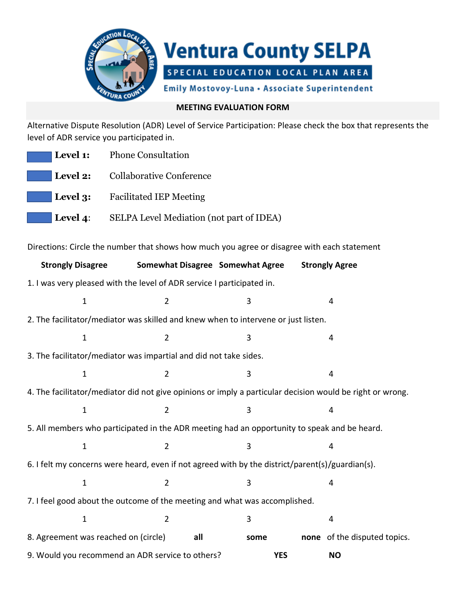

## **MEETING EVALUATION FORM**

Alternative Dispute Resolution (ADR) Level of Service Participation: Please check the box that represents the level of ADR service you participated in.

| <b>Level 1:</b> Phone Consultation                       |
|----------------------------------------------------------|
| <b>Level 2:</b> Collaborative Conference                 |
| <b>Level 3:</b> Facilitated IEP Meeting                  |
| <b>Level 4:</b> SELPA Level Mediation (not part of IDEA) |

Directions: Circle the number that shows how much you agree or disagree with each statement

| <b>Strongly Disagree</b>                                                                                  | Somewhat Disagree Somewhat Agree |      | <b>Strongly Agree</b> |                              |  |  |  |
|-----------------------------------------------------------------------------------------------------------|----------------------------------|------|-----------------------|------------------------------|--|--|--|
| 1. I was very pleased with the level of ADR service I participated in.                                    |                                  |      |                       |                              |  |  |  |
| $\mathbf 1$                                                                                               | $\overline{2}$                   | 3    | 4                     |                              |  |  |  |
| 2. The facilitator/mediator was skilled and knew when to intervene or just listen.                        |                                  |      |                       |                              |  |  |  |
| $\mathbf{1}$                                                                                              | $\overline{2}$                   | 3    | 4                     |                              |  |  |  |
| 3. The facilitator/mediator was impartial and did not take sides.                                         |                                  |      |                       |                              |  |  |  |
| $\mathbf 1$                                                                                               | $\overline{2}$                   | 3    |                       | 4                            |  |  |  |
| 4. The facilitator/mediator did not give opinions or imply a particular decision would be right or wrong. |                                  |      |                       |                              |  |  |  |
| $\mathbf 1$                                                                                               | $\overline{2}$                   | 3    |                       | 4                            |  |  |  |
| 5. All members who participated in the ADR meeting had an opportunity to speak and be heard.              |                                  |      |                       |                              |  |  |  |
| $\mathbf 1$                                                                                               | $\overline{2}$                   | 3    |                       | $\overline{4}$               |  |  |  |
| 6. I felt my concerns were heard, even if not agreed with by the district/parent(s)/guardian(s).          |                                  |      |                       |                              |  |  |  |
| $\mathbf{1}$                                                                                              | $\overline{2}$                   | 3    | 4                     |                              |  |  |  |
| 7. I feel good about the outcome of the meeting and what was accomplished.                                |                                  |      |                       |                              |  |  |  |
| $\mathbf 1$                                                                                               | $\overline{2}$                   | 3    |                       | 4                            |  |  |  |
| 8. Agreement was reached on (circle)<br>all                                                               |                                  | some |                       | none of the disputed topics. |  |  |  |
| 9. Would you recommend an ADR service to others?                                                          | <b>YES</b>                       |      | <b>NO</b>             |                              |  |  |  |